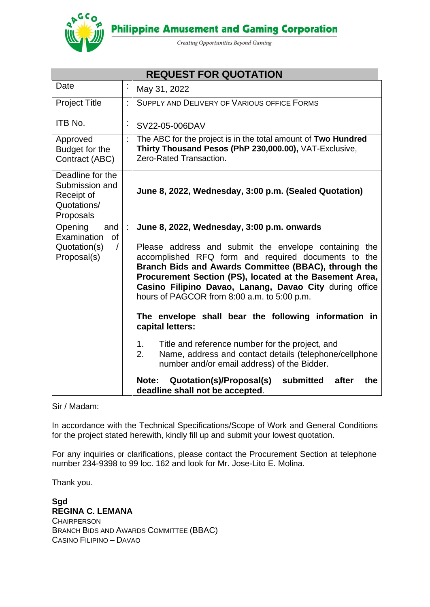**Philippine Amusement and Gaming Corporation** 

Creating Opportunities Beyond Gaming

| <b>REQUEST FOR QUOTATION</b>                                                 |                                                                                                                                                                                                                                 |                                                                                                                                                                      |  |  |
|------------------------------------------------------------------------------|---------------------------------------------------------------------------------------------------------------------------------------------------------------------------------------------------------------------------------|----------------------------------------------------------------------------------------------------------------------------------------------------------------------|--|--|
| Date                                                                         | $\blacksquare$                                                                                                                                                                                                                  | May 31, 2022                                                                                                                                                         |  |  |
| <b>Project Title</b>                                                         | ÷                                                                                                                                                                                                                               | SUPPLY AND DELIVERY OF VARIOUS OFFICE FORMS                                                                                                                          |  |  |
| ITB No.                                                                      | $\ddot{\phantom{0}}$                                                                                                                                                                                                            | SV22-05-006DAV                                                                                                                                                       |  |  |
| Approved<br>Budget for the<br>Contract (ABC)                                 |                                                                                                                                                                                                                                 | The ABC for the project is in the total amount of Two Hundred<br>Thirty Thousand Pesos (PhP 230,000.00), VAT-Exclusive,<br>Zero-Rated Transaction.                   |  |  |
| Deadline for the<br>Submission and<br>Receipt of<br>Quotations/<br>Proposals |                                                                                                                                                                                                                                 | June 8, 2022, Wednesday, 3:00 p.m. (Sealed Quotation)                                                                                                                |  |  |
| and<br>Opening<br>Examination<br>of                                          |                                                                                                                                                                                                                                 | June 8, 2022, Wednesday, 3:00 p.m. onwards                                                                                                                           |  |  |
| Quotation(s)<br>$\sqrt{2}$<br>Proposal(s)                                    | Please address and submit the envelope containing the<br>accomplished RFQ form and required documents to the<br>Branch Bids and Awards Committee (BBAC), through the<br>Procurement Section (PS), located at the Basement Area, |                                                                                                                                                                      |  |  |
|                                                                              |                                                                                                                                                                                                                                 | Casino Filipino Davao, Lanang, Davao City during office<br>hours of PAGCOR from 8:00 a.m. to 5:00 p.m.                                                               |  |  |
|                                                                              |                                                                                                                                                                                                                                 | The envelope shall bear the following information in<br>capital letters:                                                                                             |  |  |
|                                                                              |                                                                                                                                                                                                                                 | Title and reference number for the project, and<br>1.<br>Name, address and contact details (telephone/cellphone<br>2.<br>number and/or email address) of the Bidder. |  |  |
|                                                                              |                                                                                                                                                                                                                                 | Quotation(s)/Proposal(s)<br>submitted<br>Note:<br>after<br>the<br>deadline shall not be accepted.                                                                    |  |  |

Sir / Madam:

In accordance with the Technical Specifications/Scope of Work and General Conditions for the project stated herewith, kindly fill up and submit your lowest quotation.

For any inquiries or clarifications, please contact the Procurement Section at telephone number 234-9398 to 99 loc. 162 and look for Mr. Jose-Lito E. Molina.

Thank you.

**Sgd REGINA C. LEMANA CHAIRPERSON** BRANCH BIDS AND AWARDS COMMITTEE (BBAC) CASINO FILIPINO – DAVAO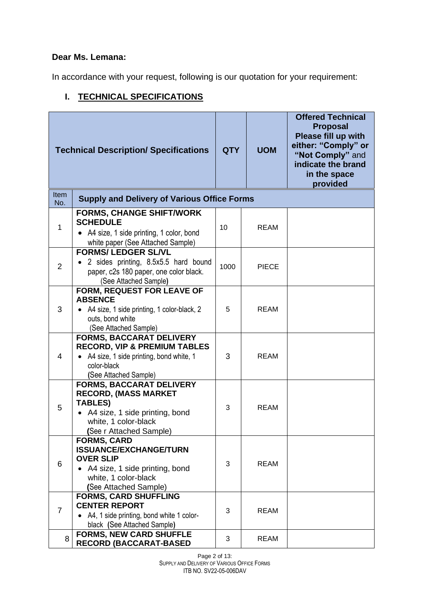# **Dear Ms. Lemana:**

In accordance with your request, following is our quotation for your requirement:

# **I. TECHNICAL SPECIFICATIONS**

|                    | <b>Technical Description/ Specifications</b>                                                                                                                            | <b>QTY</b> | <b>UOM</b>   | <b>Offered Technical</b><br><b>Proposal</b><br>Please fill up with<br>either: "Comply" or<br>"Not Comply" and<br>indicate the brand<br>in the space<br>provided |
|--------------------|-------------------------------------------------------------------------------------------------------------------------------------------------------------------------|------------|--------------|-----------------------------------------------------------------------------------------------------------------------------------------------------------------|
| <b>Item</b><br>No. | <b>Supply and Delivery of Various Office Forms</b>                                                                                                                      |            |              |                                                                                                                                                                 |
| $\mathbf{1}$       | <b>FORMS, CHANGE SHIFT/WORK</b><br><b>SCHEDULE</b><br>• A4 size, 1 side printing, 1 color, bond<br>white paper (See Attached Sample)                                    | 10         | <b>REAM</b>  |                                                                                                                                                                 |
| $\overline{2}$     | <b>FORMS/ LEDGER SL/VL</b><br>• 2 sides printing, 8.5x5.5 hard bound<br>paper, c2s 180 paper, one color black.<br>(See Attached Sample)                                 | 1000       | <b>PIECE</b> |                                                                                                                                                                 |
| 3                  | <b>FORM, REQUEST FOR LEAVE OF</b><br><b>ABSENCE</b><br>• A4 size, 1 side printing, 1 color-black, 2<br>outs, bond white<br>(See Attached Sample)                        | 5          | REAM         |                                                                                                                                                                 |
| 4                  | <b>FORMS, BACCARAT DELIVERY</b><br><b>RECORD, VIP &amp; PREMIUM TABLES</b><br>• A4 size, 1 side printing, bond white, 1<br>color-black<br>(See Attached Sample)         | 3          | <b>REAM</b>  |                                                                                                                                                                 |
| 5                  | <b>FORMS, BACCARAT DELIVERY</b><br><b>RECORD, (MASS MARKET</b><br><b>TABLES)</b><br>• A4 size, 1 side printing, bond<br>white, 1 color-black<br>(See r Attached Sample) | 3          | <b>REAM</b>  |                                                                                                                                                                 |
| 6                  | <b>FORMS, CARD</b><br><b>ISSUANCE/EXCHANGE/TURN</b><br><b>OVER SLIP</b><br>• A4 size, 1 side printing, bond<br>white, 1 color-black<br>(See Attached Sample)            | 3          | <b>REAM</b>  |                                                                                                                                                                 |
| $\overline{7}$     | <b>FORMS, CARD SHUFFLING</b><br><b>CENTER REPORT</b><br>• A4, 1 side printing, bond white 1 color-<br>black (See Attached Sample)                                       | 3          | <b>REAM</b>  |                                                                                                                                                                 |
| 8                  | <b>FORMS, NEW CARD SHUFFLE</b><br><b>RECORD (BACCARAT-BASED</b>                                                                                                         | 3          | <b>REAM</b>  |                                                                                                                                                                 |

Page 2 of 13: SUPPLY AND DELIVERY OF VARIOUS OFFICE FORMS ITB NO. SV22-05-006DAV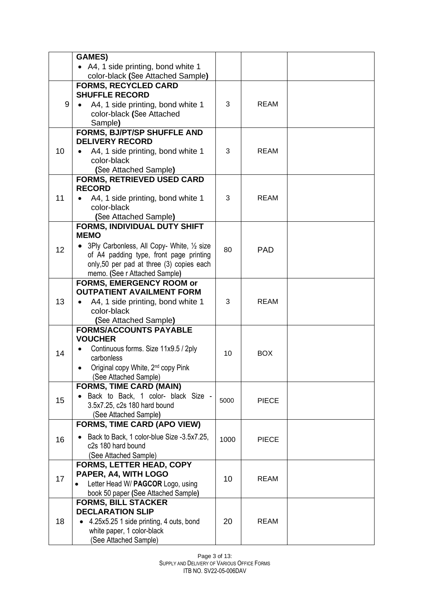|                 | <b>GAMES)</b>                                                         |      |              |  |
|-----------------|-----------------------------------------------------------------------|------|--------------|--|
|                 | • A4, 1 side printing, bond white 1                                   |      |              |  |
|                 | color-black (See Attached Sample)                                     |      |              |  |
|                 | <b>FORMS, RECYCLED CARD</b>                                           |      |              |  |
|                 | <b>SHUFFLE RECORD</b>                                                 |      |              |  |
| 9               | A4, 1 side printing, bond white 1                                     | 3    | <b>REAM</b>  |  |
|                 | color-black (See Attached                                             |      |              |  |
|                 | Sample)                                                               |      |              |  |
|                 | <b>FORMS, BJ/PT/SP SHUFFLE AND</b><br><b>DELIVERY RECORD</b>          |      |              |  |
| 10              |                                                                       | 3    | <b>REAM</b>  |  |
|                 | A4, 1 side printing, bond white 1<br>color-black                      |      |              |  |
|                 | (See Attached Sample)                                                 |      |              |  |
|                 | <b>FORMS, RETRIEVED USED CARD</b>                                     |      |              |  |
|                 | <b>RECORD</b>                                                         |      |              |  |
| 11              | A4, 1 side printing, bond white 1                                     | 3    | <b>REAM</b>  |  |
|                 | color-black                                                           |      |              |  |
|                 | (See Attached Sample)                                                 |      |              |  |
|                 | FORMS, INDIVIDUAL DUTY SHIFT                                          |      |              |  |
|                 | <b>MEMO</b>                                                           |      |              |  |
| 12 <sup>2</sup> | • 3Ply Carbonless, All Copy- White, 1/2 size                          | 80   | PAD          |  |
|                 | of A4 padding type, front page printing                               |      |              |  |
|                 | only, 50 per pad at three (3) copies each                             |      |              |  |
|                 | memo. (See r Attached Sample)<br>FORMS, EMERGENCY ROOM or             |      |              |  |
|                 | <b>OUTPATIENT AVAILMENT FORM</b>                                      |      |              |  |
| 13              | A4, 1 side printing, bond white 1                                     | 3    | <b>REAM</b>  |  |
|                 | color-black                                                           |      |              |  |
|                 | (See Attached Sample)                                                 |      |              |  |
|                 | <b>FORMS/ACCOUNTS PAYABLE</b>                                         |      |              |  |
|                 | <b>VOUCHER</b>                                                        |      |              |  |
| 14              | Continuous forms. Size 11x9.5 / 2ply                                  | 10   | <b>BOX</b>   |  |
|                 | carbonless                                                            |      |              |  |
|                 | Original copy White, 2 <sup>nd</sup> copy Pink                        |      |              |  |
|                 | (See Attached Sample)                                                 |      |              |  |
|                 | <b>FORMS, TIME CARD (MAIN)</b><br>Back to Back, 1 color- black Size - |      |              |  |
| 15              | 3.5x7.25, c2s 180 hard bound                                          | 5000 | <b>PIECE</b> |  |
|                 | (See Attached Sample)                                                 |      |              |  |
|                 | <b>FORMS, TIME CARD (APO VIEW)</b>                                    |      |              |  |
|                 | Back to Back, 1 color-blue Size -3.5x7.25,                            |      |              |  |
| 16              | c <sub>2s</sub> 180 hard bound                                        | 1000 | <b>PIECE</b> |  |
|                 | (See Attached Sample)                                                 |      |              |  |
|                 | <b>FORMS, LETTER HEAD, COPY</b>                                       |      |              |  |
| 17              | PAPER, A4, WITH LOGO                                                  | 10   | <b>REAM</b>  |  |
|                 | Letter Head W/ PAGCOR Logo, using                                     |      |              |  |
|                 | book 50 paper (See Attached Sample)                                   |      |              |  |
|                 | <b>FORMS, BILL STACKER</b>                                            |      |              |  |
|                 | <b>DECLARATION SLIP</b>                                               |      |              |  |
| 18              | • 4.25x5.25 1 side printing, 4 outs, bond                             | 20   | <b>REAM</b>  |  |
|                 | white paper, 1 color-black                                            |      |              |  |
|                 | (See Attached Sample)                                                 |      |              |  |

Page 3 of 13: SUPPLY AND DELIVERY OF VARIOUS OFFICE FORMS ITB NO. SV22-05-006DAV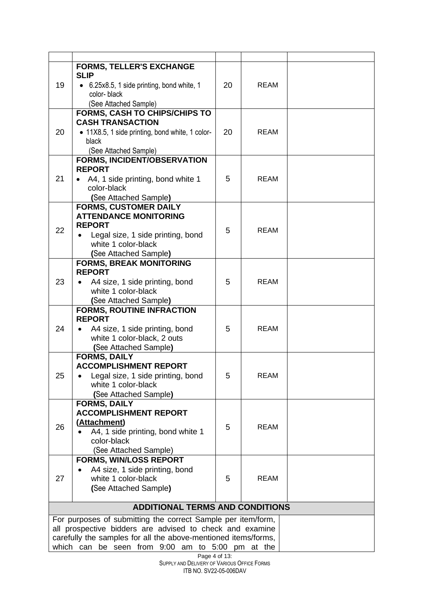| 19 | <b>FORMS, TELLER'S EXCHANGE</b><br><b>SLIP</b><br>• 6.25x8.5, 1 side printing, bond white, 1<br>color-black<br>(See Attached Sample)                               | 20 | REAM        |  |
|----|--------------------------------------------------------------------------------------------------------------------------------------------------------------------|----|-------------|--|
| 20 | <b>FORMS, CASH TO CHIPS/CHIPS TO</b><br><b>CASH TRANSACTION</b><br>• 11X8.5, 1 side printing, bond white, 1 color-<br>black<br>(See Attached Sample)               | 20 | <b>REAM</b> |  |
| 21 | <b>FORMS, INCIDENT/OBSERVATION</b><br><b>REPORT</b><br>A4, 1 side printing, bond white 1<br>color-black<br>(See Attached Sample)                                   | 5  | <b>REAM</b> |  |
| 22 | <b>FORMS, CUSTOMER DAILY</b><br><b>ATTENDANCE MONITORING</b><br><b>REPORT</b><br>Legal size, 1 side printing, bond<br>white 1 color-black<br>(See Attached Sample) | 5  | <b>REAM</b> |  |
| 23 | <b>FORMS, BREAK MONITORING</b><br><b>REPORT</b><br>A4 size, 1 side printing, bond<br>white 1 color-black<br>(See Attached Sample)                                  | 5  | <b>REAM</b> |  |
| 24 | <b>FORMS, ROUTINE INFRACTION</b><br><b>REPORT</b><br>A4 size, 1 side printing, bond<br>white 1 color-black, 2 outs<br>(See Attached Sample)                        | 5  | <b>REAM</b> |  |
| 25 | <b>FORMS, DAILY</b><br><b>ACCOMPLISHMENT REPORT</b><br>Legal size, 1 side printing, bond<br>white 1 color-black<br>(See Attached Sample)                           | 5  | REAM        |  |
| 26 | <b>FORMS, DAILY</b><br><b>ACCOMPLISHMENT REPORT</b><br>(Attachment)<br>A4, 1 side printing, bond white 1<br>color-black<br>(See Attached Sample)                   | 5  | <b>REAM</b> |  |
| 27 | <b>FORMS, WIN/LOSS REPORT</b><br>A4 size, 1 side printing, bond<br>white 1 color-black<br>(See Attached Sample)                                                    | 5  | <b>REAM</b> |  |
|    | <b>ADDITIONAL TERMS AND CONDITIONS</b>                                                                                                                             |    |             |  |
|    | For purposes of submitting the correct Sample per item/form,                                                                                                       |    |             |  |
|    | all prospective bidders are advised to check and examine                                                                                                           |    |             |  |
|    | carefully the samples for all the above-mentioned items/forms,<br>which can be seen from 9:00 am to 5:00 pm at the                                                 |    |             |  |
|    |                                                                                                                                                                    |    |             |  |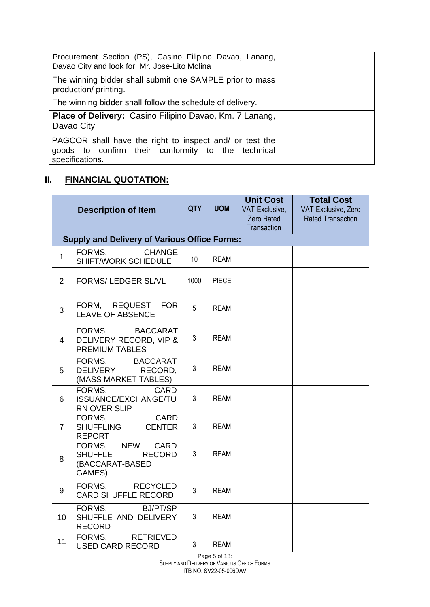| Procurement Section (PS), Casino Filipino Davao, Lanang,<br>Davao City and look for Mr. Jose-Lito Molina                         |  |
|----------------------------------------------------------------------------------------------------------------------------------|--|
| The winning bidder shall submit one SAMPLE prior to mass<br>production/ printing.                                                |  |
| The winning bidder shall follow the schedule of delivery.                                                                        |  |
| <b>Place of Delivery: Casino Filipino Davao, Km. 7 Lanang,</b><br>Davao City                                                     |  |
| PAGCOR shall have the right to inspect and/ or test the<br>goods to confirm their conformity to the technical<br>specifications. |  |

# **II. FINANCIAL QUOTATION:**

|                 | <b>Description of Item</b>                                         | QTY  | <b>UOM</b>   | <b>Unit Cost</b><br>VAT-Exclusive,<br>Zero Rated<br>Transaction | <b>Total Cost</b><br>VAT-Exclusive, Zero<br><b>Rated Transaction</b> |
|-----------------|--------------------------------------------------------------------|------|--------------|-----------------------------------------------------------------|----------------------------------------------------------------------|
|                 | <b>Supply and Delivery of Various Office Forms:</b>                |      |              |                                                                 |                                                                      |
| $\mathbf{1}$    | FORMS.<br><b>CHANGE</b><br>SHIFT/WORK SCHEDULE                     | 10   | <b>REAM</b>  |                                                                 |                                                                      |
| 2               | <b>FORMS/ LEDGER SL/VL</b>                                         | 1000 | <b>PIECE</b> |                                                                 |                                                                      |
| 3               | FORM, REQUEST FOR<br><b>LEAVE OF ABSENCE</b>                       | 5    | <b>REAM</b>  |                                                                 |                                                                      |
| $\overline{4}$  | FORMS, BACCARAT<br>DELIVERY RECORD, VIP &<br><b>PREMIUM TABLES</b> | 3    | <b>REAM</b>  |                                                                 |                                                                      |
| 5               | FORMS, BACCARAT<br>DELIVERY RECORD,<br>(MASS MARKET TABLES)        | 3    | <b>REAM</b>  |                                                                 |                                                                      |
| 6               | FORMS.<br><b>CARD</b><br>ISSUANCE/EXCHANGE/TU<br>RN OVER SLIP      | 3    | <b>REAM</b>  |                                                                 |                                                                      |
| $\overline{7}$  | FORMS,<br><b>CARD</b><br>SHUFFLING CENTER<br><b>REPORT</b>         | 3    | <b>REAM</b>  |                                                                 |                                                                      |
| 8               | FORMS, NEW CARD<br>SHUFFLE RECORD<br>(BACCARAT-BASED<br>GAMES)     | 3    | <b>REAM</b>  |                                                                 |                                                                      |
| 9               | FORMS,<br>RECYCLED<br><b>CARD SHUFFLE RECORD</b>                   | 3    | <b>REAM</b>  |                                                                 |                                                                      |
| 10 <sup>1</sup> | FORMS, BJ/PT/SP<br>SHUFFLE AND DELIVERY<br><b>RECORD</b>           | 3    | <b>REAM</b>  |                                                                 |                                                                      |
| 11              | FORMS,<br>RETRIEVED<br><b>USED CARD RECORD</b>                     | 3    | <b>REAM</b>  |                                                                 |                                                                      |

Page 5 of 13: SUPPLY AND DELIVERY OF VARIOUS OFFICE FORMS ITB NO. SV22-05-006DAV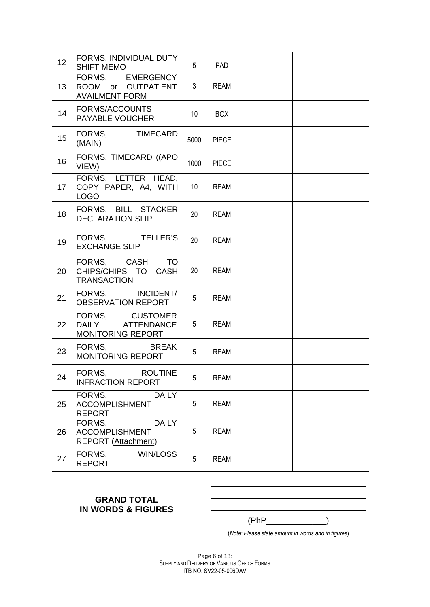| 12                                                  | FORMS, INDIVIDUAL DUTY<br><b>SHIFT MEMO</b>                                   | 5               | <b>PAD</b>   |                                                     |  |
|-----------------------------------------------------|-------------------------------------------------------------------------------|-----------------|--------------|-----------------------------------------------------|--|
| 13                                                  | FORMS, EMERGENCY<br>ROOM or OUTPATIENT<br><b>AVAILMENT FORM</b>               | 3               | <b>REAM</b>  |                                                     |  |
| 14                                                  | FORMS/ACCOUNTS<br>PAYABLE VOUCHER                                             | 10              | <b>BOX</b>   |                                                     |  |
| 15                                                  | FORMS,<br><b>TIMECARD</b><br>(MAIN)                                           | 5000            | <b>PIECE</b> |                                                     |  |
| 16                                                  | FORMS, TIMECARD ((APO<br>VIEW)                                                | 1000            | <b>PIECE</b> |                                                     |  |
| 17                                                  | FORMS, LETTER HEAD,<br>COPY PAPER, A4, WITH<br><b>LOGO</b>                    | 10 <sup>°</sup> | <b>REAM</b>  |                                                     |  |
| 18                                                  | FORMS, BILL STACKER<br><b>DECLARATION SLIP</b>                                | 20              | <b>REAM</b>  |                                                     |  |
| 19                                                  | FORMS, TELLER'S<br><b>EXCHANGE SLIP</b>                                       | 20              | <b>REAM</b>  |                                                     |  |
| 20                                                  | FORMS, CASH<br><b>TO</b><br>CHIPS/CHIPS TO CASH<br><b>TRANSACTION</b>         | 20              | <b>REAM</b>  |                                                     |  |
| 21                                                  | FORMS, INCIDENT/<br><b>OBSERVATION REPORT</b>                                 | 5               | <b>REAM</b>  |                                                     |  |
| 22                                                  | FORMS, CUSTOMER<br>DAILY ATTENDANCE<br>MONITORING REPORT                      | $5\overline{)}$ | <b>REAM</b>  |                                                     |  |
| 23                                                  | FORMS,<br><b>BREAK</b><br><b>MONITORING REPORT</b>                            | 5               | <b>REAM</b>  |                                                     |  |
| 24                                                  | FORMS,<br><b>ROUTINE</b><br><b>INFRACTION REPORT</b>                          | 5               | <b>REAM</b>  |                                                     |  |
| 25                                                  | FORMS,<br><b>DAILY</b><br><b>ACCOMPLISHMENT</b><br><b>REPORT</b>              | 5               | <b>REAM</b>  |                                                     |  |
| 26                                                  | <b>DAILY</b><br>FORMS,<br><b>ACCOMPLISHMENT</b><br><b>REPORT (Attachment)</b> | 5               | <b>REAM</b>  |                                                     |  |
| 27                                                  | FORMS,<br>WIN/LOSS<br><b>REPORT</b>                                           | 5               | <b>REAM</b>  |                                                     |  |
| <b>GRAND TOTAL</b><br><b>IN WORDS &amp; FIGURES</b> |                                                                               |                 |              | $(PhP$ (PhP                                         |  |
|                                                     |                                                                               |                 |              | (Note: Please state amount in words and in figures) |  |

Page 6 of 13: SUPPLY AND DELIVERY OF VARIOUS OFFICE FORMS ITB NO. SV22-05-006DAV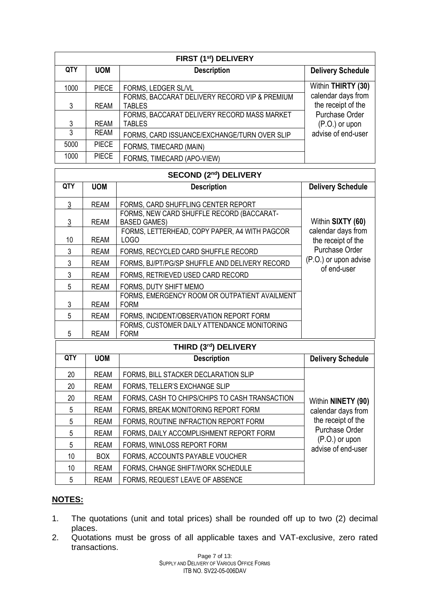| FIRST (1st) DELIVERY |              |                                               |                          |  |
|----------------------|--------------|-----------------------------------------------|--------------------------|--|
| <b>QTY</b>           | <b>UOM</b>   | <b>Description</b>                            | <b>Delivery Schedule</b> |  |
| 1000                 | <b>PIECE</b> | FORMS, LEDGER SL/VL                           | Within THIRTY (30)       |  |
|                      |              | FORMS, BACCARAT DELIVERY RECORD VIP & PREMIUM | calendar days from       |  |
| 3                    | <b>REAM</b>  | <b>TABLES</b>                                 | the receipt of the       |  |
|                      |              | FORMS, BACCARAT DELIVERY RECORD MASS MARKET   | Purchase Order           |  |
| 3                    | <b>REAM</b>  | <b>TABLES</b>                                 | $(P.O.)$ or upon         |  |
| 3                    | <b>REAM</b>  | FORMS, CARD ISSUANCE/EXCHANGE/TURN OVER SLIP  | advise of end-user       |  |
| 5000                 | <b>PIECE</b> | FORMS, TIMECARD (MAIN)                        |                          |  |
| 1000                 | <b>PIECE</b> | FORMS, TIMECARD (APO-VIEW)                    |                          |  |

| <b>SECOND (2nd) DELIVERY</b> |             |                                                                  |                                          |  |
|------------------------------|-------------|------------------------------------------------------------------|------------------------------------------|--|
| QTY                          | <b>UOM</b>  | <b>Description</b>                                               | <b>Delivery Schedule</b>                 |  |
| 3                            | <b>REAM</b> | FORMS, CARD SHUFFLING CENTER REPORT                              |                                          |  |
| 3                            | <b>REAM</b> | FORMS, NEW CARD SHUFFLE RECORD (BACCARAT-<br><b>BASED GAMES)</b> | Within SIXTY (60)                        |  |
| 10                           | <b>REAM</b> | FORMS, LETTERHEAD, COPY PAPER, A4 WITH PAGCOR<br>LOGO            | calendar days from<br>the receipt of the |  |
| 3                            | <b>REAM</b> | FORMS, RECYCLED CARD SHUFFLE RECORD                              | Purchase Order                           |  |
| 3                            | <b>REAM</b> | FORMS, BJ/PT/PG/SP SHUFFLE AND DELIVERY RECORD                   | (P.O.) or upon advise<br>of end-user     |  |
| 3                            | <b>REAM</b> | FORMS, RETRIEVED USED CARD RECORD                                |                                          |  |
| 5                            | <b>REAM</b> | FORMS, DUTY SHIFT MEMO                                           |                                          |  |
| 3                            | <b>REAM</b> | FORMS, EMERGENCY ROOM OR OUTPATIENT AVAILMENT<br><b>FORM</b>     |                                          |  |
| 5                            | <b>REAM</b> | FORMS, INCIDENT/OBSERVATION REPORT FORM                          |                                          |  |
| 5                            | <b>REAM</b> | FORMS, CUSTOMER DAILY ATTENDANCE MONITORING<br><b>FORM</b>       |                                          |  |
|                              |             | THIRD (3rd) DELIVERY                                             |                                          |  |
| QTY                          | <b>UOM</b>  | <b>Description</b>                                               | <b>Delivery Schedule</b>                 |  |
| 20                           | <b>REAM</b> | FORMS, BILL STACKER DECLARATION SLIP                             |                                          |  |
| 20                           | <b>REAM</b> | FORMS, TELLER'S EXCHANGE SLIP                                    |                                          |  |
| 20                           | <b>REAM</b> | FORMS, CASH TO CHIPS/CHIPS TO CASH TRANSACTION                   | Within NINETY (90)                       |  |
| 5                            | <b>REAM</b> | FORMS, BREAK MONITORING REPORT FORM                              | calendar days from                       |  |
| 5                            | <b>REAM</b> | FORMS, ROUTINE INFRACTION REPORT FORM                            | the receipt of the                       |  |
| 5                            | <b>REAM</b> | FORMS, DAILY ACCOMPLISHMENT REPORT FORM                          | Purchase Order                           |  |
| 5                            | <b>REAM</b> | FORMS, WIN/LOSS REPORT FORM                                      | (P.O.) or upon<br>advise of end-user     |  |
| 10                           | <b>BOX</b>  | FORMS, ACCOUNTS PAYABLE VOUCHER                                  |                                          |  |
| 10                           | <b>REAM</b> | FORMS, CHANGE SHIFT/WORK SCHEDULE                                |                                          |  |
| 5                            | <b>REAM</b> | FORMS, REQUEST LEAVE OF ABSENCE                                  |                                          |  |

# **NOTES:**

- 1. The quotations (unit and total prices) shall be rounded off up to two (2) decimal places.
- 2. Quotations must be gross of all applicable taxes and VAT-exclusive, zero rated transactions.

Page 7 of 13: SUPPLY AND DELIVERY OF VARIOUS OFFICE FORMS ITB NO. SV22-05-006DAV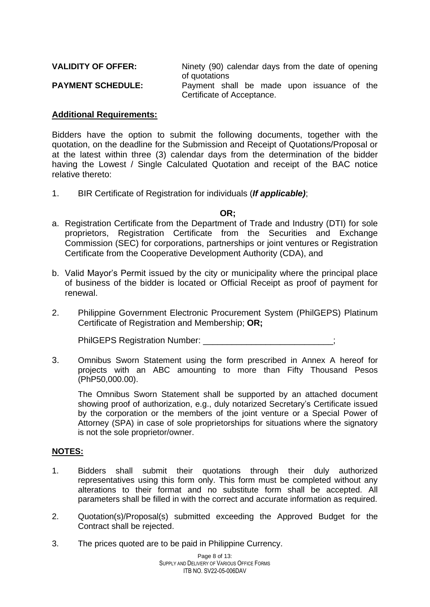| <b>VALIDITY OF OFFER:</b> | Ninety (90) calendar days from the date of opening |  |  |  |  |  |
|---------------------------|----------------------------------------------------|--|--|--|--|--|
|                           | of quotations                                      |  |  |  |  |  |
| <b>PAYMENT SCHEDULE:</b>  | Payment shall be made upon issuance of the         |  |  |  |  |  |
|                           | Certificate of Acceptance.                         |  |  |  |  |  |

#### **Additional Requirements:**

Bidders have the option to submit the following documents, together with the quotation, on the deadline for the Submission and Receipt of Quotations/Proposal or at the latest within three (3) calendar days from the determination of the bidder having the Lowest / Single Calculated Quotation and receipt of the BAC notice relative thereto:

1. BIR Certificate of Registration for individuals (*If applicable)*;

#### **OR;**

- a. Registration Certificate from the Department of Trade and Industry (DTI) for sole proprietors, Registration Certificate from the Securities and Exchange Commission (SEC) for corporations, partnerships or joint ventures or Registration Certificate from the Cooperative Development Authority (CDA), and
- b. Valid Mayor's Permit issued by the city or municipality where the principal place of business of the bidder is located or Official Receipt as proof of payment for renewal.
- 2. Philippine Government Electronic Procurement System (PhilGEPS) Platinum Certificate of Registration and Membership; **OR;**

PhilGEPS Registration Number:

3. Omnibus Sworn Statement using the form prescribed in Annex A hereof for projects with an ABC amounting to more than Fifty Thousand Pesos (PhP50,000.00).

The Omnibus Sworn Statement shall be supported by an attached document showing proof of authorization, e.g., duly notarized Secretary's Certificate issued by the corporation or the members of the joint venture or a Special Power of Attorney (SPA) in case of sole proprietorships for situations where the signatory is not the sole proprietor/owner.

#### **NOTES:**

- 1. Bidders shall submit their quotations through their duly authorized representatives using this form only. This form must be completed without any alterations to their format and no substitute form shall be accepted. All parameters shall be filled in with the correct and accurate information as required.
- 2. Quotation(s)/Proposal(s) submitted exceeding the Approved Budget for the Contract shall be rejected.
- 3. The prices quoted are to be paid in Philippine Currency.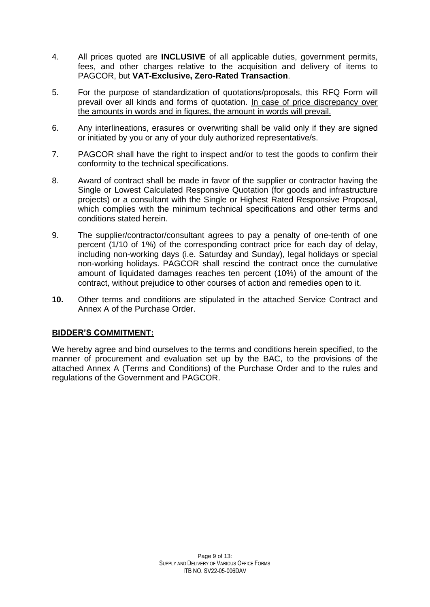- 4. All prices quoted are **INCLUSIVE** of all applicable duties, government permits, fees, and other charges relative to the acquisition and delivery of items to PAGCOR, but **VAT-Exclusive, Zero-Rated Transaction**.
- 5. For the purpose of standardization of quotations/proposals, this RFQ Form will prevail over all kinds and forms of quotation. In case of price discrepancy over the amounts in words and in figures, the amount in words will prevail.
- 6. Any interlineations, erasures or overwriting shall be valid only if they are signed or initiated by you or any of your duly authorized representative/s.
- 7. PAGCOR shall have the right to inspect and/or to test the goods to confirm their conformity to the technical specifications.
- 8. Award of contract shall be made in favor of the supplier or contractor having the Single or Lowest Calculated Responsive Quotation (for goods and infrastructure projects) or a consultant with the Single or Highest Rated Responsive Proposal, which complies with the minimum technical specifications and other terms and conditions stated herein.
- 9. The supplier/contractor/consultant agrees to pay a penalty of one-tenth of one percent (1/10 of 1%) of the corresponding contract price for each day of delay, including non-working days (i.e. Saturday and Sunday), legal holidays or special non-working holidays. PAGCOR shall rescind the contract once the cumulative amount of liquidated damages reaches ten percent (10%) of the amount of the contract, without prejudice to other courses of action and remedies open to it.
- **10.** Other terms and conditions are stipulated in the attached Service Contract and Annex A of the Purchase Order.

### **BIDDER'S COMMITMENT:**

We hereby agree and bind ourselves to the terms and conditions herein specified, to the manner of procurement and evaluation set up by the BAC, to the provisions of the attached Annex A (Terms and Conditions) of the Purchase Order and to the rules and regulations of the Government and PAGCOR.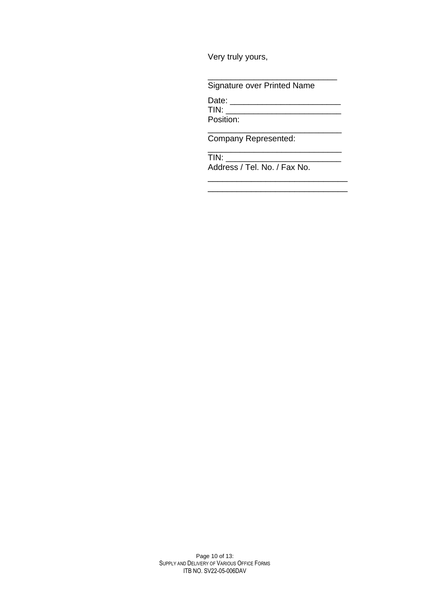Very truly yours,

Signature over Printed Name

Date: \_\_\_\_\_\_\_\_\_\_\_\_\_\_\_\_\_\_\_\_\_\_\_\_  $T_{1} = T_{1} + T_{2} + T_{3} + T_{4} + T_{5} + T_{6} + T_{7} + T_{8} + T_{9} + T_{10} + T_{11} + T_{12} + T_{13} + T_{14} + T_{15} + T_{16} + T_{17} + T_{18} + T_{19} + T_{10} + T_{10} + T_{11} + T_{10} + T_{11} + T_{12} + T_{13} + T_{14} + T_{15} + T_{16} + T_{17} + T_{18} + T_{19} + T_{10} + T_{10} + T_{11} + T_{10} + T_{11} + T_{$ Position:

\_\_\_\_\_\_\_\_\_\_\_\_\_\_\_\_\_\_\_\_\_\_\_\_\_\_\_\_\_

\_\_\_\_\_\_\_\_\_\_\_\_\_\_\_\_\_\_\_\_\_\_\_\_\_\_\_\_\_

\_\_\_\_\_\_\_\_\_\_\_\_\_\_\_\_\_\_\_\_\_\_\_\_\_\_\_\_

Company Represented:

 $\overline{\phantom{a}}$  , where  $\overline{\phantom{a}}$  $TIN:$ Address / Tel. No. / Fax No.

Page 10 of 13: SUPPLY AND DELIVERY OF VARIOUS OFFICE FORMS ITB NO. SV22-05-006DAV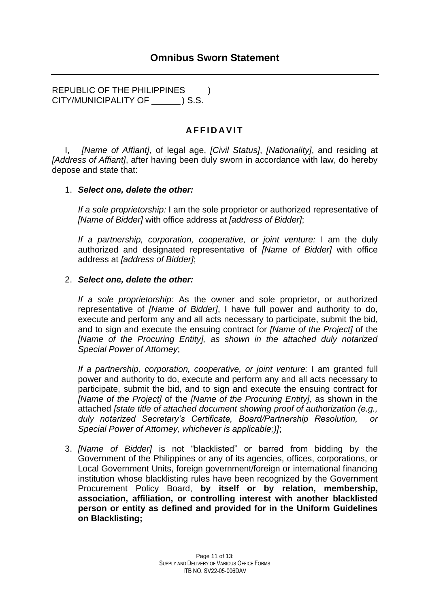REPUBLIC OF THE PHILIPPINES ) CITY/MUNICIPALITY OF \_\_\_\_\_\_ ) S.S.

## **A F F I D A V I T**

I, *[Name of Affiant]*, of legal age, *[Civil Status]*, *[Nationality]*, and residing at *[Address of Affiant]*, after having been duly sworn in accordance with law, do hereby depose and state that:

### 1. *Select one, delete the other:*

*If a sole proprietorship:* I am the sole proprietor or authorized representative of *[Name of Bidder]* with office address at *[address of Bidder]*;

*If a partnership, corporation, cooperative, or joint venture:* I am the duly authorized and designated representative of *[Name of Bidder]* with office address at *[address of Bidder]*;

#### 2. *Select one, delete the other:*

*If a sole proprietorship:* As the owner and sole proprietor, or authorized representative of *[Name of Bidder]*, I have full power and authority to do, execute and perform any and all acts necessary to participate, submit the bid, and to sign and execute the ensuing contract for *[Name of the Project]* of the *[Name of the Procuring Entity], as shown in the attached duly notarized Special Power of Attorney*;

*If a partnership, corporation, cooperative, or joint venture:* I am granted full power and authority to do, execute and perform any and all acts necessary to participate, submit the bid, and to sign and execute the ensuing contract for *[Name of the Project]* of the *[Name of the Procuring Entity],* as shown in the attached *[state title of attached document showing proof of authorization (e.g., duly notarized Secretary's Certificate, Board/Partnership Resolution, or Special Power of Attorney, whichever is applicable;)]*;

3. *[Name of Bidder]* is not "blacklisted" or barred from bidding by the Government of the Philippines or any of its agencies, offices, corporations, or Local Government Units, foreign government/foreign or international financing institution whose blacklisting rules have been recognized by the Government Procurement Policy Board, **by itself or by relation, membership, association, affiliation, or controlling interest with another blacklisted person or entity as defined and provided for in the Uniform Guidelines on Blacklisting;**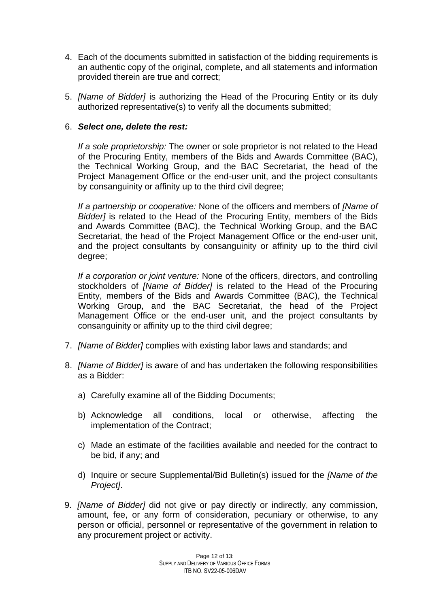- 4. Each of the documents submitted in satisfaction of the bidding requirements is an authentic copy of the original, complete, and all statements and information provided therein are true and correct;
- 5. *[Name of Bidder]* is authorizing the Head of the Procuring Entity or its duly authorized representative(s) to verify all the documents submitted;

## 6. *Select one, delete the rest:*

*If a sole proprietorship:* The owner or sole proprietor is not related to the Head of the Procuring Entity, members of the Bids and Awards Committee (BAC), the Technical Working Group, and the BAC Secretariat, the head of the Project Management Office or the end-user unit, and the project consultants by consanguinity or affinity up to the third civil degree;

*If a partnership or cooperative:* None of the officers and members of *[Name of Bidder]* is related to the Head of the Procuring Entity, members of the Bids and Awards Committee (BAC), the Technical Working Group, and the BAC Secretariat, the head of the Project Management Office or the end-user unit, and the project consultants by consanguinity or affinity up to the third civil degree;

*If a corporation or joint venture:* None of the officers, directors, and controlling stockholders of *[Name of Bidder]* is related to the Head of the Procuring Entity, members of the Bids and Awards Committee (BAC), the Technical Working Group, and the BAC Secretariat, the head of the Project Management Office or the end-user unit, and the project consultants by consanguinity or affinity up to the third civil degree;

- 7. *[Name of Bidder]* complies with existing labor laws and standards; and
- 8. *[Name of Bidder]* is aware of and has undertaken the following responsibilities as a Bidder:
	- a) Carefully examine all of the Bidding Documents;
	- b) Acknowledge all conditions, local or otherwise, affecting the implementation of the Contract;
	- c) Made an estimate of the facilities available and needed for the contract to be bid, if any; and
	- d) Inquire or secure Supplemental/Bid Bulletin(s) issued for the *[Name of the Project]*.
- 9. *[Name of Bidder]* did not give or pay directly or indirectly, any commission, amount, fee, or any form of consideration, pecuniary or otherwise, to any person or official, personnel or representative of the government in relation to any procurement project or activity.